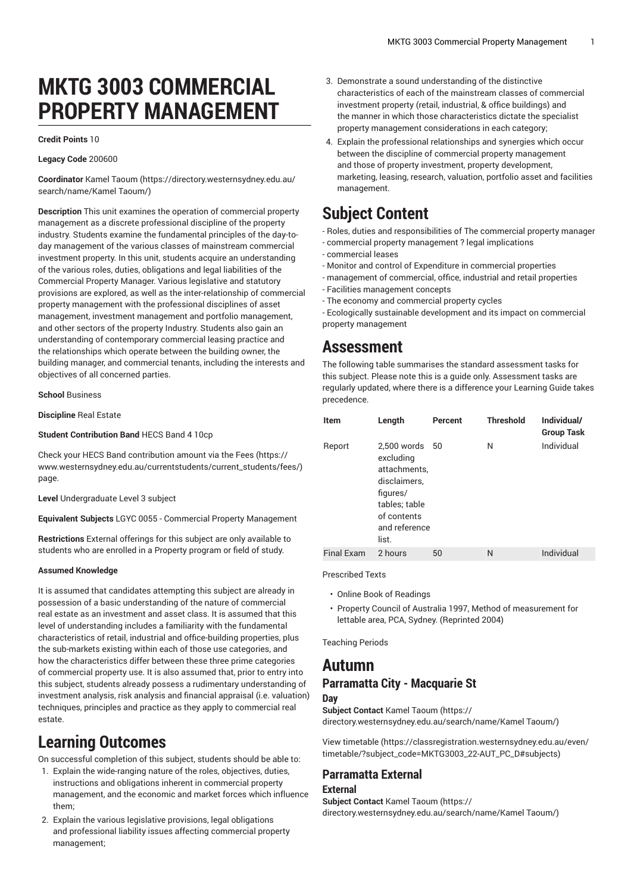# **MKTG 3003 COMMERCIAL PROPERTY MANAGEMENT**

#### **Credit Points** 10

### **Legacy Code** 200600

**Coordinator** Kamel [Taoum](https://directory.westernsydney.edu.au/search/name/Kamel Taoum/) ([https://directory.westernsydney.edu.au/](https://directory.westernsydney.edu.au/search/name/Kamel Taoum/) [search/name/Kamel](https://directory.westernsydney.edu.au/search/name/Kamel Taoum/) Taoum/)

**Description** This unit examines the operation of commercial property management as a discrete professional discipline of the property industry. Students examine the fundamental principles of the day-today management of the various classes of mainstream commercial investment property. In this unit, students acquire an understanding of the various roles, duties, obligations and legal liabilities of the Commercial Property Manager. Various legislative and statutory provisions are explored, as well as the inter-relationship of commercial property management with the professional disciplines of asset management, investment management and portfolio management, and other sectors of the property Industry. Students also gain an understanding of contemporary commercial leasing practice and the relationships which operate between the building owner, the building manager, and commercial tenants, including the interests and objectives of all concerned parties.

**School** Business

**Discipline** Real Estate

### **Student Contribution Band** HECS Band 4 10cp

Check your HECS Band contribution amount via the [Fees \(https://](https://www.westernsydney.edu.au/currentstudents/current_students/fees/) [www.westernsydney.edu.au/currentstudents/current\\_students/fees/\)](https://www.westernsydney.edu.au/currentstudents/current_students/fees/) page.

**Level** Undergraduate Level 3 subject

**Equivalent Subjects** LGYC 0055 - Commercial Property Management

**Restrictions** External offerings for this subject are only available to students who are enrolled in a Property program or field of study.

#### **Assumed Knowledge**

It is assumed that candidates attempting this subject are already in possession of a basic understanding of the nature of commercial real estate as an investment and asset class. It is assumed that this level of understanding includes a familiarity with the fundamental characteristics of retail, industrial and office-building properties, plus the sub-markets existing within each of those use categories, and how the characteristics differ between these three prime categories of commercial property use. It is also assumed that, prior to entry into this subject, students already possess a rudimentary understanding of investment analysis, risk analysis and financial appraisal (i.e. valuation) techniques, principles and practice as they apply to commercial real estate.

# **Learning Outcomes**

On successful completion of this subject, students should be able to:

- 1. Explain the wide-ranging nature of the roles, objectives, duties, instructions and obligations inherent in commercial property management, and the economic and market forces which influence them;
- 2. Explain the various legislative provisions, legal obligations and professional liability issues affecting commercial property management;
- 3. Demonstrate a sound understanding of the distinctive characteristics of each of the mainstream classes of commercial investment property (retail, industrial, & office buildings) and the manner in which those characteristics dictate the specialist property management considerations in each category;
- 4. Explain the professional relationships and synergies which occur between the discipline of commercial property management and those of property investment, property development, marketing, leasing, research, valuation, portfolio asset and facilities management.

# **Subject Content**

- Roles, duties and responsibilities of The commercial property manager
- commercial property management ? legal implications
- commercial leases
- Monitor and control of Expenditure in commercial properties
- management of commercial, office, industrial and retail properties
- Facilities management concepts
- The economy and commercial property cycles

- Ecologically sustainable development and its impact on commercial property management

## **Assessment**

The following table summarises the standard assessment tasks for this subject. Please note this is a guide only. Assessment tasks are regularly updated, where there is a difference your Learning Guide takes precedence.

| <b>Item</b>       | Length                                                                                                                         | Percent | <b>Threshold</b> | Individual/<br><b>Group Task</b> |
|-------------------|--------------------------------------------------------------------------------------------------------------------------------|---------|------------------|----------------------------------|
| Report            | 2.500 words<br>excluding<br>attachments,<br>disclaimers,<br>figures/<br>tables; table<br>of contents<br>and reference<br>list. | 50      | N                | Individual                       |
| <b>Final Exam</b> | 2 hours                                                                                                                        | 50      | N                | Individual                       |

#### Prescribed Texts

- Online Book of Readings
- Property Council of Australia 1997, Method of measurement for lettable area, PCA, Sydney. (Reprinted 2004)

Teaching Periods

### **Autumn Parramatta City - Macquarie St**

### **Day**

**Subject Contact** Kamel [Taoum](https://directory.westernsydney.edu.au/search/name/Kamel Taoum/) ([https://](https://directory.westernsydney.edu.au/search/name/Kamel Taoum/)

[directory.westernsydney.edu.au/search/name/Kamel](https://directory.westernsydney.edu.au/search/name/Kamel Taoum/) Taoum/)

[View timetable](https://classregistration.westernsydney.edu.au/even/timetable/?subject_code=MKTG3003_22-AUT_PC_D#subjects) [\(https://classregistration.westernsydney.edu.au/even/](https://classregistration.westernsydney.edu.au/even/timetable/?subject_code=MKTG3003_22-AUT_PC_D#subjects) [timetable/?subject\\_code=MKTG3003\\_22-AUT\\_PC\\_D#subjects](https://classregistration.westernsydney.edu.au/even/timetable/?subject_code=MKTG3003_22-AUT_PC_D#subjects))

### **Parramatta External**

### **External**

**Subject Contact** Kamel [Taoum](https://directory.westernsydney.edu.au/search/name/Kamel Taoum/) ([https://](https://directory.westernsydney.edu.au/search/name/Kamel Taoum/) [directory.westernsydney.edu.au/search/name/Kamel](https://directory.westernsydney.edu.au/search/name/Kamel Taoum/) Taoum/)